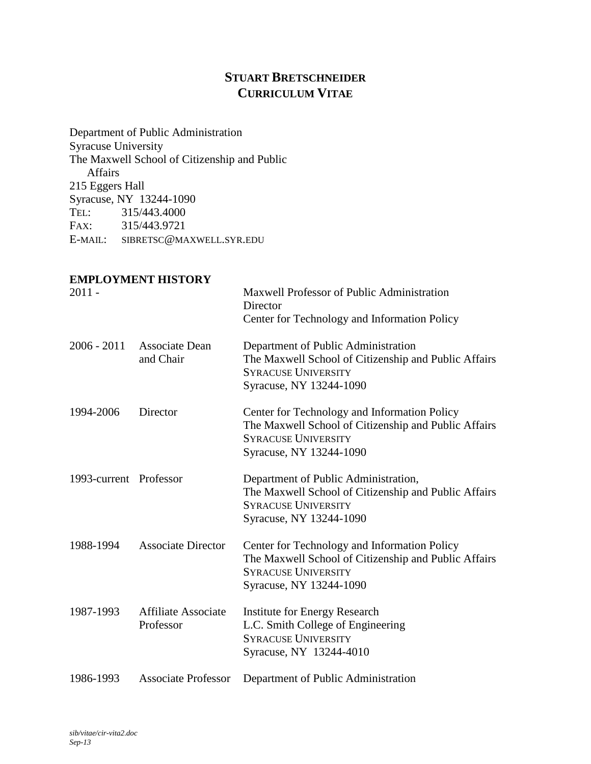# **STUART BRETSCHNEIDER CURRICULUM VITAE**

Department of Public Administration Syracuse University The Maxwell School of Citizenship and Public Affairs 215 Eggers Hall Syracuse, NY 13244-1090 TEL: 315/443.4000 FAX: 315/443.9721 E-MAIL: SIBRETSC@MAXWELL.SYR.EDU

#### **EMPLOYMENT HISTORY**

| $2011 -$               |                                         | Maxwell Professor of Public Administration<br>Director<br>Center for Technology and Information Policy                                                        |
|------------------------|-----------------------------------------|---------------------------------------------------------------------------------------------------------------------------------------------------------------|
| $2006 - 2011$          | Associate Dean<br>and Chair             | Department of Public Administration<br>The Maxwell School of Citizenship and Public Affairs<br><b>SYRACUSE UNIVERSITY</b><br>Syracuse, NY 13244-1090          |
| 1994-2006              | Director                                | Center for Technology and Information Policy<br>The Maxwell School of Citizenship and Public Affairs<br><b>SYRACUSE UNIVERSITY</b><br>Syracuse, NY 13244-1090 |
| 1993-current Professor |                                         | Department of Public Administration,<br>The Maxwell School of Citizenship and Public Affairs<br><b>SYRACUSE UNIVERSITY</b><br>Syracuse, NY 13244-1090         |
| 1988-1994              | <b>Associate Director</b>               | Center for Technology and Information Policy<br>The Maxwell School of Citizenship and Public Affairs<br><b>SYRACUSE UNIVERSITY</b><br>Syracuse, NY 13244-1090 |
| 1987-1993              | <b>Affiliate Associate</b><br>Professor | <b>Institute for Energy Research</b><br>L.C. Smith College of Engineering<br><b>SYRACUSE UNIVERSITY</b><br>Syracuse, NY 13244-4010                            |
| 1986-1993              | <b>Associate Professor</b>              | Department of Public Administration                                                                                                                           |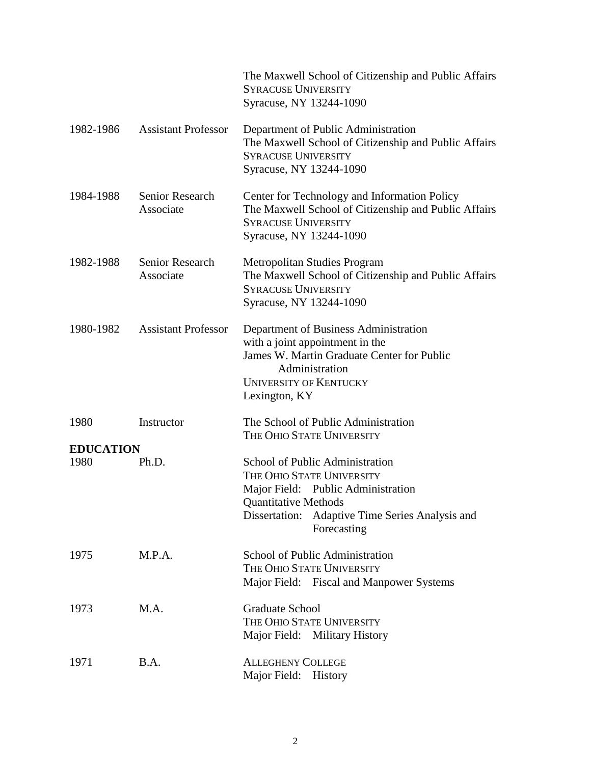|                          |                              | The Maxwell School of Citizenship and Public Affairs<br><b>SYRACUSE UNIVERSITY</b><br>Syracuse, NY 13244-1090                                                                                          |
|--------------------------|------------------------------|--------------------------------------------------------------------------------------------------------------------------------------------------------------------------------------------------------|
| 1982-1986                | <b>Assistant Professor</b>   | Department of Public Administration<br>The Maxwell School of Citizenship and Public Affairs<br><b>SYRACUSE UNIVERSITY</b><br>Syracuse, NY 13244-1090                                                   |
| 1984-1988                | Senior Research<br>Associate | Center for Technology and Information Policy<br>The Maxwell School of Citizenship and Public Affairs<br><b>SYRACUSE UNIVERSITY</b><br>Syracuse, NY 13244-1090                                          |
| 1982-1988                | Senior Research<br>Associate | <b>Metropolitan Studies Program</b><br>The Maxwell School of Citizenship and Public Affairs<br><b>SYRACUSE UNIVERSITY</b><br>Syracuse, NY 13244-1090                                                   |
| 1980-1982                | <b>Assistant Professor</b>   | Department of Business Administration<br>with a joint appointment in the<br>James W. Martin Graduate Center for Public<br>Administration<br><b>UNIVERSITY OF KENTUCKY</b><br>Lexington, KY             |
| 1980                     | Instructor                   | The School of Public Administration<br>THE OHIO STATE UNIVERSITY                                                                                                                                       |
| <b>EDUCATION</b><br>1980 | Ph.D.                        | School of Public Administration<br>THE OHIO STATE UNIVERSITY<br>Major Field: Public Administration<br><b>Quantitative Methods</b><br>Adaptive Time Series Analysis and<br>Dissertation:<br>Forecasting |
| 1975                     | M.P.A.                       | School of Public Administration<br>THE OHIO STATE UNIVERSITY<br>Major Field: Fiscal and Manpower Systems                                                                                               |
| 1973                     | M.A.                         | <b>Graduate School</b><br>THE OHIO STATE UNIVERSITY<br>Major Field: Military History                                                                                                                   |
| 1971                     | B.A.                         | <b>ALLEGHENY COLLEGE</b><br>Major Field: History                                                                                                                                                       |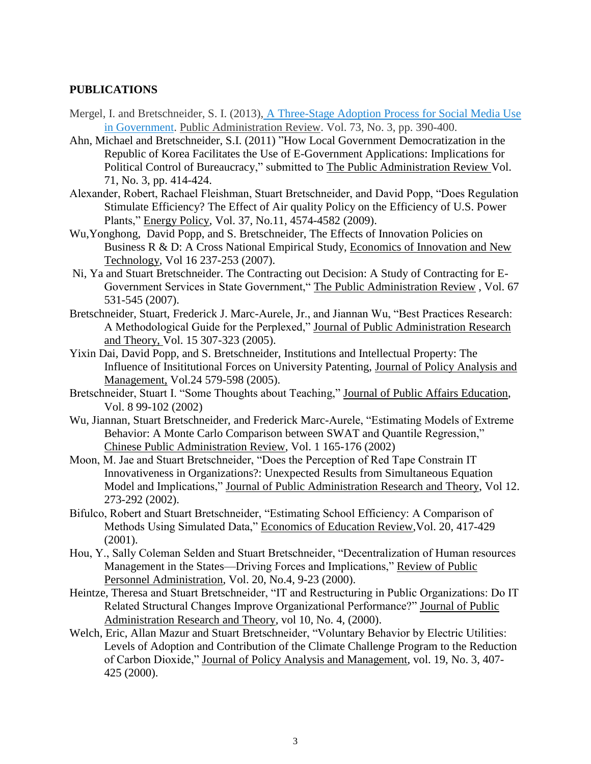#### **PUBLICATIONS**

- Mergel, I. and Bretschneider, S. I. (2013), A [Three-Stage](http://onlinelibrary.wiley.com/doi/10.1111/puar.12021/full) Adoption Process for Social Media Use in [Government.](http://onlinelibrary.wiley.com/doi/10.1111/puar.12021/full) Public Administration Review. Vol. 73, No. 3, pp. 390-400.
- Ahn, Michael and Bretschneider, S.I. (2011) "How Local Government Democratization in the Republic of Korea Facilitates the Use of E-Government Applications: Implications for Political Control of Bureaucracy," submitted to The Public Administration Review Vol. 71, No. 3, pp. 414-424.
- Alexander, Robert, Rachael Fleishman, Stuart Bretschneider, and David Popp, "Does Regulation Stimulate Efficiency? The Effect of Air quality Policy on the Efficiency of U.S. Power Plants," Energy Policy, Vol. 37, No.11, 4574-4582 (2009).
- Wu,Yonghong, David Popp, and S. Bretschneider, The Effects of Innovation Policies on Business R & D: A Cross National Empirical Study, Economics of Innovation and New Technology, Vol 16 237-253 (2007).
- Ni, Ya and Stuart Bretschneider. The Contracting out Decision: A Study of Contracting for E-Government Services in State Government," The Public Administration Review , Vol. 67 531-545 (2007).
- Bretschneider, Stuart, Frederick J. Marc-Aurele, Jr., and Jiannan Wu, "Best Practices Research: A Methodological Guide for the Perplexed," Journal of Public Administration Research and Theory, Vol. 15 307-323 (2005).
- Yixin Dai, David Popp, and S. Bretschneider, Institutions and Intellectual Property: The Influence of Insititutional Forces on University Patenting, Journal of Policy Analysis and Management, Vol.24 579-598 (2005).
- Bretschneider, Stuart I. "Some Thoughts about Teaching," Journal of Public Affairs Education, Vol. 8 99-102 (2002)
- Wu, Jiannan, Stuart Bretschneider, and Frederick Marc-Aurele, "Estimating Models of Extreme Behavior: A Monte Carlo Comparison between SWAT and Quantile Regression," Chinese Public Administration Review, Vol. 1 165-176 (2002)
- Moon, M. Jae and Stuart Bretschneider, "Does the Perception of Red Tape Constrain IT Innovativeness in Organizations?: Unexpected Results from Simultaneous Equation Model and Implications," Journal of Public Administration Research and Theory, Vol 12. 273-292 (2002).
- Bifulco, Robert and Stuart Bretschneider, "Estimating School Efficiency: A Comparison of Methods Using Simulated Data," Economics of Education Review,Vol. 20, 417-429 (2001).
- Hou, Y., Sally Coleman Selden and Stuart Bretschneider, "Decentralization of Human resources Management in the States—Driving Forces and Implications," Review of Public Personnel Administration, Vol. 20, No.4, 9-23 (2000).
- Heintze, Theresa and Stuart Bretschneider, "IT and Restructuring in Public Organizations: Do IT Related Structural Changes Improve Organizational Performance?" Journal of Public Administration Research and Theory, vol 10, No. 4, (2000).
- Welch, Eric, Allan Mazur and Stuart Bretschneider, "Voluntary Behavior by Electric Utilities: Levels of Adoption and Contribution of the Climate Challenge Program to the Reduction of Carbon Dioxide," Journal of Policy Analysis and Management, vol. 19, No. 3, 407- 425 (2000).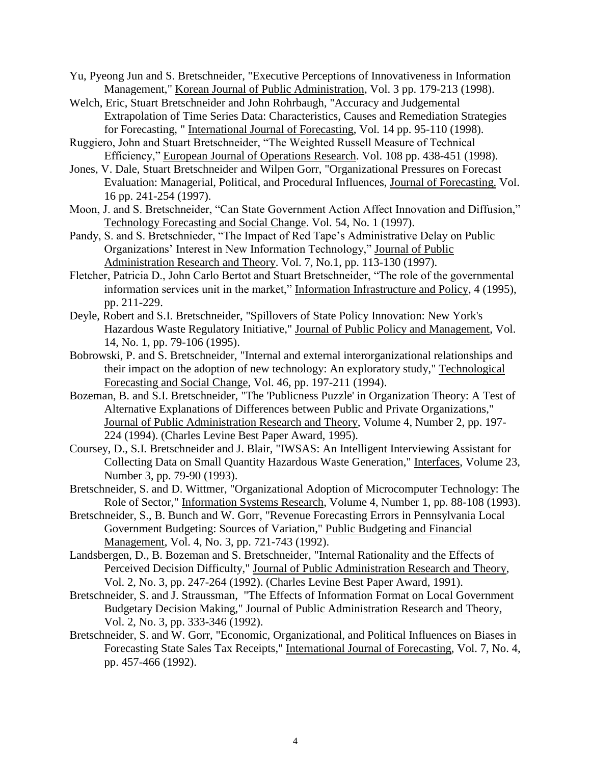- Yu, Pyeong Jun and S. Bretschneider, "Executive Perceptions of Innovativeness in Information Management," Korean Journal of Public Administration, Vol. 3 pp. 179-213 (1998).
- Welch, Eric, Stuart Bretschneider and John Rohrbaugh, "Accuracy and Judgemental Extrapolation of Time Series Data: Characteristics, Causes and Remediation Strategies for Forecasting, " International Journal of Forecasting, Vol. 14 pp. 95-110 (1998).
- Ruggiero, John and Stuart Bretschneider, "The Weighted Russell Measure of Technical Efficiency," European Journal of Operations Research. Vol. 108 pp. 438-451 (1998).
- Jones, V. Dale, Stuart Bretschneider and Wilpen Gorr, "Organizational Pressures on Forecast Evaluation: Managerial, Political, and Procedural Influences, Journal of Forecasting. Vol. 16 pp. 241-254 (1997).
- Moon, J. and S. Bretschneider, "Can State Government Action Affect Innovation and Diffusion," Technology Forecasting and Social Change. Vol. 54, No. 1 (1997).
- Pandy, S. and S. Bretschnieder, "The Impact of Red Tape's Administrative Delay on Public Organizations' Interest in New Information Technology," Journal of Public Administration Research and Theory. Vol. 7, No.1, pp. 113-130 (1997).
- Fletcher, Patricia D., John Carlo Bertot and Stuart Bretschneider, "The role of the governmental information services unit in the market," Information Infrastructure and Policy, 4 (1995), pp. 211-229.
- Deyle, Robert and S.I. Bretschneider, "Spillovers of State Policy Innovation: New York's Hazardous Waste Regulatory Initiative," Journal of Public Policy and Management, Vol. 14, No. 1, pp. 79-106 (1995).
- Bobrowski, P. and S. Bretschneider, "Internal and external interorganizational relationships and their impact on the adoption of new technology: An exploratory study," Technological Forecasting and Social Change, Vol. 46, pp. 197-211 (1994).
- Bozeman, B. and S.I. Bretschneider, "The 'Publicness Puzzle' in Organization Theory: A Test of Alternative Explanations of Differences between Public and Private Organizations," Journal of Public Administration Research and Theory, Volume 4, Number 2, pp. 197- 224 (1994). (Charles Levine Best Paper Award, 1995).
- Coursey, D., S.I. Bretschneider and J. Blair, "IWSAS: An Intelligent Interviewing Assistant for Collecting Data on Small Quantity Hazardous Waste Generation," Interfaces, Volume 23, Number 3, pp. 79-90 (1993).
- Bretschneider, S. and D. Wittmer, "Organizational Adoption of Microcomputer Technology: The Role of Sector," Information Systems Research, Volume 4, Number 1, pp. 88-108 (1993).
- Bretschneider, S., B. Bunch and W. Gorr, "Revenue Forecasting Errors in Pennsylvania Local Government Budgeting: Sources of Variation," Public Budgeting and Financial Management, Vol. 4, No. 3, pp. 721-743 (1992).
- Landsbergen, D., B. Bozeman and S. Bretschneider, "Internal Rationality and the Effects of Perceived Decision Difficulty," Journal of Public Administration Research and Theory, Vol. 2, No. 3, pp. 247-264 (1992). (Charles Levine Best Paper Award, 1991).
- Bretschneider, S. and J. Straussman, "The Effects of Information Format on Local Government Budgetary Decision Making," Journal of Public Administration Research and Theory, Vol. 2, No. 3, pp. 333-346 (1992).
- Bretschneider, S. and W. Gorr, "Economic, Organizational, and Political Influences on Biases in Forecasting State Sales Tax Receipts," International Journal of Forecasting, Vol. 7, No. 4, pp. 457-466 (1992).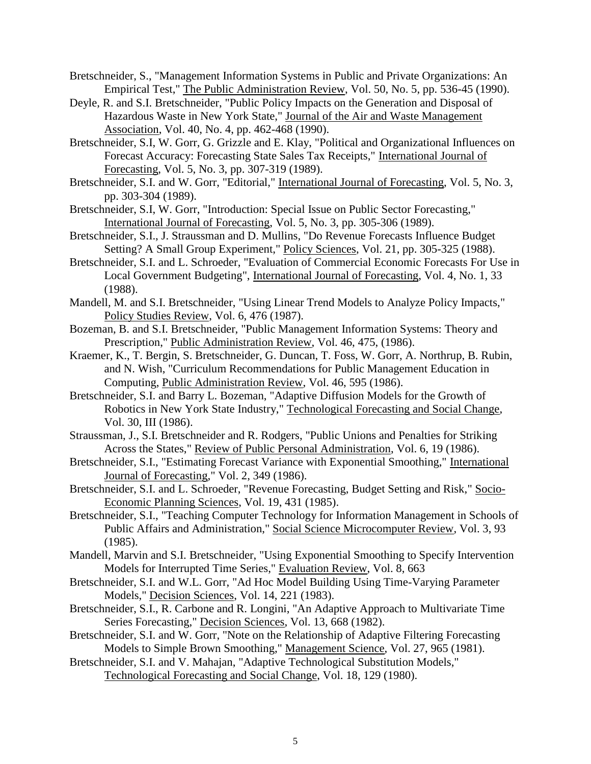Bretschneider, S., "Management Information Systems in Public and Private Organizations: An Empirical Test," The Public Administration Review, Vol. 50, No. 5, pp. 536-45 (1990).

Deyle, R. and S.I. Bretschneider, "Public Policy Impacts on the Generation and Disposal of Hazardous Waste in New York State," Journal of the Air and Waste Management Association, Vol. 40, No. 4, pp. 462-468 (1990).

Bretschneider, S.I, W. Gorr, G. Grizzle and E. Klay, "Political and Organizational Influences on Forecast Accuracy: Forecasting State Sales Tax Receipts," International Journal of Forecasting, Vol. 5, No. 3, pp. 307-319 (1989).

Bretschneider, S.I. and W. Gorr, "Editorial," International Journal of Forecasting, Vol. 5, No. 3, pp. 303-304 (1989).

Bretschneider, S.I, W. Gorr, "Introduction: Special Issue on Public Sector Forecasting," International Journal of Forecasting, Vol. 5, No. 3, pp. 305-306 (1989).

Bretschneider, S.I., J. Straussman and D. Mullins, "Do Revenue Forecasts Influence Budget Setting? A Small Group Experiment," Policy Sciences, Vol. 21, pp. 305-325 (1988).

Bretschneider, S.I. and L. Schroeder, "Evaluation of Commercial Economic Forecasts For Use in Local Government Budgeting", International Journal of Forecasting, Vol. 4, No. 1, 33 (1988).

Mandell, M. and S.I. Bretschneider, "Using Linear Trend Models to Analyze Policy Impacts," Policy Studies Review, Vol. 6, 476 (1987).

Bozeman, B. and S.I. Bretschneider, "Public Management Information Systems: Theory and Prescription," Public Administration Review, Vol. 46, 475, (1986).

Kraemer, K., T. Bergin, S. Bretschneider, G. Duncan, T. Foss, W. Gorr, A. Northrup, B. Rubin, and N. Wish, "Curriculum Recommendations for Public Management Education in Computing, Public Administration Review, Vol. 46, 595 (1986).

Bretschneider, S.I. and Barry L. Bozeman, "Adaptive Diffusion Models for the Growth of Robotics in New York State Industry," Technological Forecasting and Social Change, Vol. 30, III (1986).

Straussman, J., S.I. Bretschneider and R. Rodgers, "Public Unions and Penalties for Striking Across the States," Review of Public Personal Administration, Vol. 6, 19 (1986).

Bretschneider, S.I., "Estimating Forecast Variance with Exponential Smoothing," International Journal of Forecasting," Vol. 2, 349 (1986).

Bretschneider, S.I. and L. Schroeder, "Revenue Forecasting, Budget Setting and Risk," Socio-Economic Planning Sciences, Vol. 19, 431 (1985).

Bretschneider, S.I., "Teaching Computer Technology for Information Management in Schools of Public Affairs and Administration," Social Science Microcomputer Review, Vol. 3, 93 (1985).

Mandell, Marvin and S.I. Bretschneider, "Using Exponential Smoothing to Specify Intervention Models for Interrupted Time Series," Evaluation Review, Vol. 8, 663

Bretschneider, S.I. and W.L. Gorr, "Ad Hoc Model Building Using Time-Varying Parameter Models," Decision Sciences, Vol. 14, 221 (1983).

Bretschneider, S.I., R. Carbone and R. Longini, "An Adaptive Approach to Multivariate Time Series Forecasting," Decision Sciences, Vol. 13, 668 (1982).

Bretschneider, S.I. and W. Gorr, "Note on the Relationship of Adaptive Filtering Forecasting Models to Simple Brown Smoothing," Management Science, Vol. 27, 965 (1981).

Bretschneider, S.I. and V. Mahajan, "Adaptive Technological Substitution Models," Technological Forecasting and Social Change, Vol. 18, 129 (1980).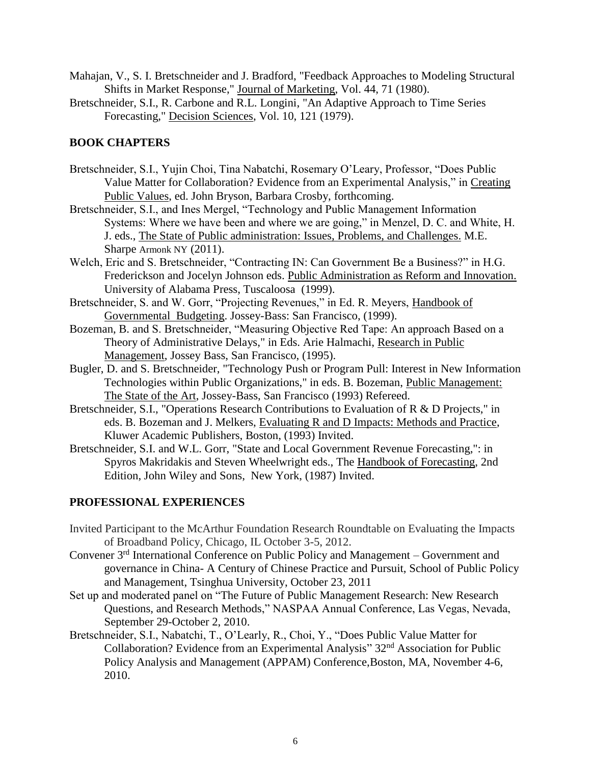- Mahajan, V., S. I. Bretschneider and J. Bradford, "Feedback Approaches to Modeling Structural Shifts in Market Response," Journal of Marketing, Vol. 44, 71 (1980).
- Bretschneider, S.I., R. Carbone and R.L. Longini, "An Adaptive Approach to Time Series Forecasting," Decision Sciences, Vol. 10, 121 (1979).

# **BOOK CHAPTERS**

- Bretschneider, S.I., Yujin Choi, Tina Nabatchi, Rosemary O'Leary, Professor, "Does Public Value Matter for Collaboration? Evidence from an Experimental Analysis," in Creating Public Values, ed. John Bryson, Barbara Crosby, forthcoming.
- Bretschneider, S.I., and Ines Mergel, "Technology and Public Management Information Systems: Where we have been and where we are going," in Menzel, D. C. and White, H. J. eds., The State of Public administration: Issues, Problems, and Challenges. M.E. Sharpe Armonk NY (2011).
- Welch, Eric and S. Bretschneider, "Contracting IN: Can Government Be a Business?" in H.G. Frederickson and Jocelyn Johnson eds. Public Administration as Reform and Innovation. University of Alabama Press, Tuscaloosa (1999).
- Bretschneider, S. and W. Gorr, "Projecting Revenues," in Ed. R. Meyers, Handbook of Governmental Budgeting. Jossey-Bass: San Francisco, (1999).
- Bozeman, B. and S. Bretschneider, "Measuring Objective Red Tape: An approach Based on a Theory of Administrative Delays," in Eds. Arie Halmachi, Research in Public Management, Jossey Bass, San Francisco, (1995).
- Bugler, D. and S. Bretschneider, "Technology Push or Program Pull: Interest in New Information Technologies within Public Organizations," in eds. B. Bozeman, Public Management: The State of the Art, Jossey-Bass, San Francisco (1993) Refereed.
- Bretschneider, S.I., "Operations Research Contributions to Evaluation of R & D Projects," in eds. B. Bozeman and J. Melkers, Evaluating R and D Impacts: Methods and Practice, Kluwer Academic Publishers, Boston, (1993) Invited.
- Bretschneider, S.I. and W.L. Gorr, "State and Local Government Revenue Forecasting,": in Spyros Makridakis and Steven Wheelwright eds., The Handbook of Forecasting, 2nd Edition, John Wiley and Sons, New York, (1987) Invited.

#### **PROFESSIONAL EXPERIENCES**

- Invited Participant to the McArthur Foundation Research Roundtable on Evaluating the Impacts of Broadband Policy, Chicago, IL October 3-5, 2012.
- Convener 3<sup>rd</sup> International Conference on Public Policy and Management Government and governance in China- A Century of Chinese Practice and Pursuit, School of Public Policy and Management, Tsinghua University, October 23, 2011
- Set up and moderated panel on "The Future of Public Management Research: New Research Questions, and Research Methods," NASPAA Annual Conference, Las Vegas, Nevada, September 29-October 2, 2010.
- Bretschneider, S.I., Nabatchi, T., O'Learly, R., Choi, Y., "Does Public Value Matter for Collaboration? Evidence from an Experimental Analysis" 32<sup>nd</sup> Association for Public Policy Analysis and Management (APPAM) Conference,Boston, MA, November 4-6, 2010.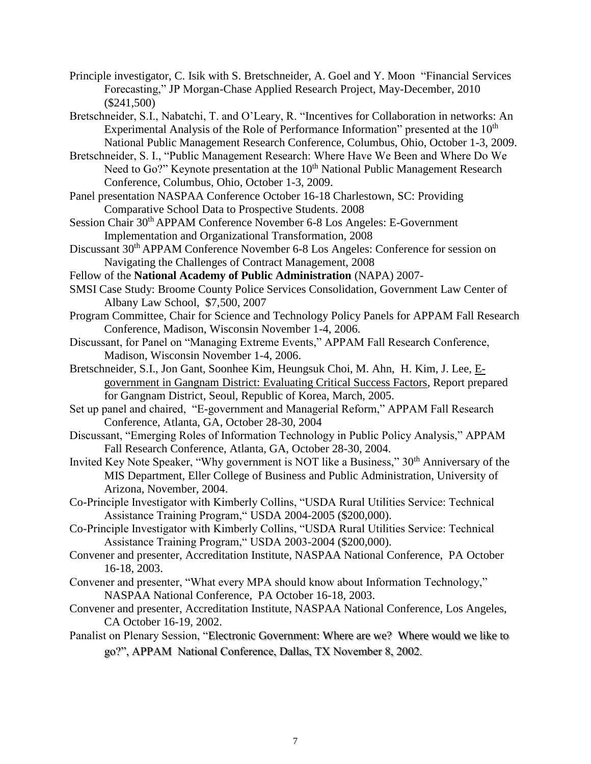- Principle investigator, C. Isik with S. Bretschneider, A. Goel and Y. Moon "Financial Services Forecasting," JP Morgan-Chase Applied Research Project, May-December, 2010 (\$241,500)
- Bretschneider, S.I., Nabatchi, T. and O'Leary, R. "Incentives for Collaboration in networks: An Experimental Analysis of the Role of Performance Information" presented at the  $10<sup>th</sup>$ National Public Management Research Conference, Columbus, Ohio, October 1-3, 2009.
- Bretschneider, S. I., "Public Management Research: Where Have We Been and Where Do We Need to Go?" Keynote presentation at the  $10<sup>th</sup>$  National Public Management Research Conference, Columbus, Ohio, October 1-3, 2009.
- Panel presentation NASPAA Conference October 16-18 Charlestown, SC: Providing Comparative School Data to Prospective Students. 2008
- Session Chair 30<sup>th</sup> APPAM Conference November 6-8 Los Angeles: E-Government Implementation and Organizational Transformation, 2008
- Discussant 30th APPAM Conference November 6-8 Los Angeles: Conference for session on Navigating the Challenges of Contract Management, 2008
- Fellow of the **National Academy of Public Administration** (NAPA) 2007-
- SMSI Case Study: Broome County Police Services Consolidation, Government Law Center of Albany Law School, \$7,500, 2007
- Program Committee, Chair for Science and Technology Policy Panels for APPAM Fall Research Conference, Madison, Wisconsin November 1-4, 2006.
- Discussant, for Panel on "Managing Extreme Events," APPAM Fall Research Conference, Madison, Wisconsin November 1-4, 2006.
- Bretschneider, S.I., Jon Gant, Soonhee Kim, Heungsuk Choi, M. Ahn, H. Kim, J. Lee, Egovernment in Gangnam District: Evaluating Critical Success Factors, Report prepared for Gangnam District, Seoul, Republic of Korea, March, 2005.
- Set up panel and chaired, "E-government and Managerial Reform," APPAM Fall Research Conference, Atlanta, GA, October 28-30, 2004
- Discussant, "Emerging Roles of Information Technology in Public Policy Analysis," APPAM Fall Research Conference, Atlanta, GA, October 28-30, 2004.
- Invited Key Note Speaker, "Why government is NOT like a Business," 30<sup>th</sup> Anniversary of the MIS Department, Eller College of Business and Public Administration, University of Arizona, November, 2004.
- Co-Principle Investigator with Kimberly Collins, "USDA Rural Utilities Service: Technical Assistance Training Program," USDA 2004-2005 (\$200,000).
- Co-Principle Investigator with Kimberly Collins, "USDA Rural Utilities Service: Technical Assistance Training Program," USDA 2003-2004 (\$200,000).
- Convener and presenter, Accreditation Institute, NASPAA National Conference, PA October 16-18, 2003.
- Convener and presenter, "What every MPA should know about Information Technology," NASPAA National Conference, PA October 16-18, 2003.
- Convener and presenter, Accreditation Institute, NASPAA National Conference, Los Angeles, CA October 16-19, 2002.
- Panalist on Plenary Session, "Electronic Government: Where are we? Where would we like to go?", APPAM National Conference, Dallas, TX November 8, 2002.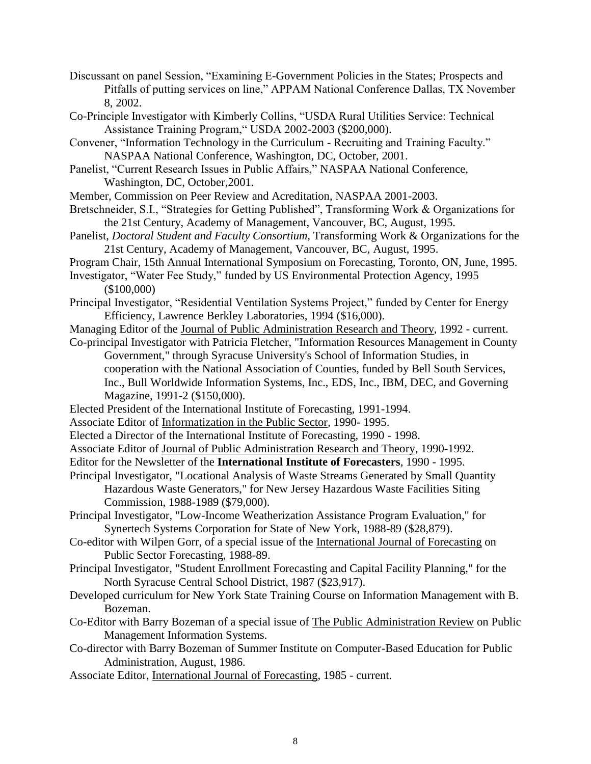- Discussant on panel Session, "Examining E-Government Policies in the States; Prospects and Pitfalls of putting services on line," APPAM National Conference Dallas, TX November 8, 2002.
- Co-Principle Investigator with Kimberly Collins, "USDA Rural Utilities Service: Technical Assistance Training Program," USDA 2002-2003 (\$200,000).
- Convener, "Information Technology in the Curriculum Recruiting and Training Faculty." NASPAA National Conference, Washington, DC, October, 2001.
- Panelist, "Current Research Issues in Public Affairs," NASPAA National Conference, Washington, DC, October,2001.
- Member, Commission on Peer Review and Acreditation, NASPAA 2001-2003.
- Bretschneider, S.I., "Strategies for Getting Published", Transforming Work & Organizations for the 21st Century, Academy of Management, Vancouver, BC, August, 1995.
- Panelist, *Doctoral Student and Faculty Consortium,* Transforming Work & Organizations for the 21st Century, Academy of Management, Vancouver, BC, August, 1995.
- Program Chair, 15th Annual International Symposium on Forecasting, Toronto, ON, June, 1995.
- Investigator, "Water Fee Study," funded by US Environmental Protection Agency, 1995 (\$100,000)
- Principal Investigator, "Residential Ventilation Systems Project," funded by Center for Energy Efficiency, Lawrence Berkley Laboratories, 1994 (\$16,000).
- Managing Editor of the Journal of Public Administration Research and Theory, 1992 current.
- Co-principal Investigator with Patricia Fletcher, "Information Resources Management in County Government," through Syracuse University's School of Information Studies, in cooperation with the National Association of Counties, funded by Bell South Services, Inc., Bull Worldwide Information Systems, Inc., EDS, Inc., IBM, DEC, and Governing Magazine, 1991-2 (\$150,000).
- Elected President of the International Institute of Forecasting, 1991-1994.
- Associate Editor of Informatization in the Public Sector, 1990- 1995.
- Elected a Director of the International Institute of Forecasting, 1990 1998.
- Associate Editor of Journal of Public Administration Research and Theory, 1990-1992.
- Editor for the Newsletter of the **International Institute of Forecasters**, 1990 1995.
- Principal Investigator, "Locational Analysis of Waste Streams Generated by Small Quantity Hazardous Waste Generators," for New Jersey Hazardous Waste Facilities Siting Commission, 1988-1989 (\$79,000).
- Principal Investigator, "Low-Income Weatherization Assistance Program Evaluation," for Synertech Systems Corporation for State of New York, 1988-89 (\$28,879).
- Co-editor with Wilpen Gorr, of a special issue of the International Journal of Forecasting on Public Sector Forecasting, 1988-89.
- Principal Investigator, "Student Enrollment Forecasting and Capital Facility Planning," for the North Syracuse Central School District, 1987 (\$23,917).
- Developed curriculum for New York State Training Course on Information Management with B. Bozeman.
- Co-Editor with Barry Bozeman of a special issue of The Public Administration Review on Public Management Information Systems.
- Co-director with Barry Bozeman of Summer Institute on Computer-Based Education for Public Administration, August, 1986.
- Associate Editor, International Journal of Forecasting, 1985 current.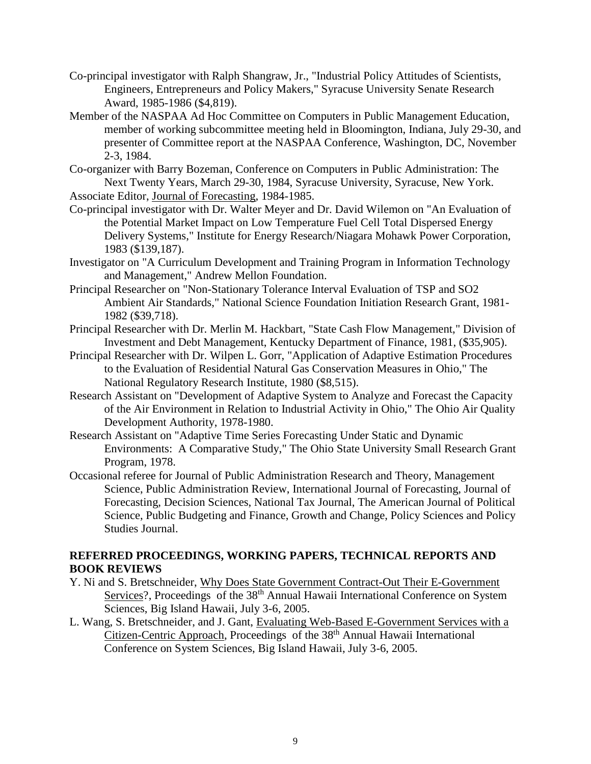- Co-principal investigator with Ralph Shangraw, Jr., "Industrial Policy Attitudes of Scientists, Engineers, Entrepreneurs and Policy Makers," Syracuse University Senate Research Award, 1985-1986 (\$4,819).
- Member of the NASPAA Ad Hoc Committee on Computers in Public Management Education, member of working subcommittee meeting held in Bloomington, Indiana, July 29-30, and presenter of Committee report at the NASPAA Conference, Washington, DC, November 2-3, 1984.
- Co-organizer with Barry Bozeman, Conference on Computers in Public Administration: The Next Twenty Years, March 29-30, 1984, Syracuse University, Syracuse, New York. Associate Editor, Journal of Forecasting, 1984-1985.
- Co-principal investigator with Dr. Walter Meyer and Dr. David Wilemon on "An Evaluation of the Potential Market Impact on Low Temperature Fuel Cell Total Dispersed Energy Delivery Systems," Institute for Energy Research/Niagara Mohawk Power Corporation, 1983 (\$139,187).
- Investigator on "A Curriculum Development and Training Program in Information Technology and Management," Andrew Mellon Foundation.
- Principal Researcher on "Non-Stationary Tolerance Interval Evaluation of TSP and SO2 Ambient Air Standards," National Science Foundation Initiation Research Grant, 1981- 1982 (\$39,718).
- Principal Researcher with Dr. Merlin M. Hackbart, "State Cash Flow Management," Division of Investment and Debt Management, Kentucky Department of Finance, 1981, (\$35,905).
- Principal Researcher with Dr. Wilpen L. Gorr, "Application of Adaptive Estimation Procedures to the Evaluation of Residential Natural Gas Conservation Measures in Ohio," The National Regulatory Research Institute, 1980 (\$8,515).
- Research Assistant on "Development of Adaptive System to Analyze and Forecast the Capacity of the Air Environment in Relation to Industrial Activity in Ohio," The Ohio Air Quality Development Authority, 1978-1980.
- Research Assistant on "Adaptive Time Series Forecasting Under Static and Dynamic Environments: A Comparative Study," The Ohio State University Small Research Grant Program, 1978.
- Occasional referee for Journal of Public Administration Research and Theory, Management Science, Public Administration Review, International Journal of Forecasting, Journal of Forecasting, Decision Sciences, National Tax Journal, The American Journal of Political Science, Public Budgeting and Finance, Growth and Change, Policy Sciences and Policy Studies Journal.

# **REFERRED PROCEEDINGS, WORKING PAPERS, TECHNICAL REPORTS AND BOOK REVIEWS**

- Y. Ni and S. Bretschneider, Why Does State Government Contract-Out Their E-Government Services?, Proceedings of the 38<sup>th</sup> Annual Hawaii International Conference on System Sciences, Big Island Hawaii, July 3-6, 2005.
- L. Wang, S. Bretschneider, and J. Gant, Evaluating Web-Based E-Government Services with a Citizen-Centric Approach, Proceedings of the 38<sup>th</sup> Annual Hawaii International Conference on System Sciences, Big Island Hawaii, July 3-6, 2005.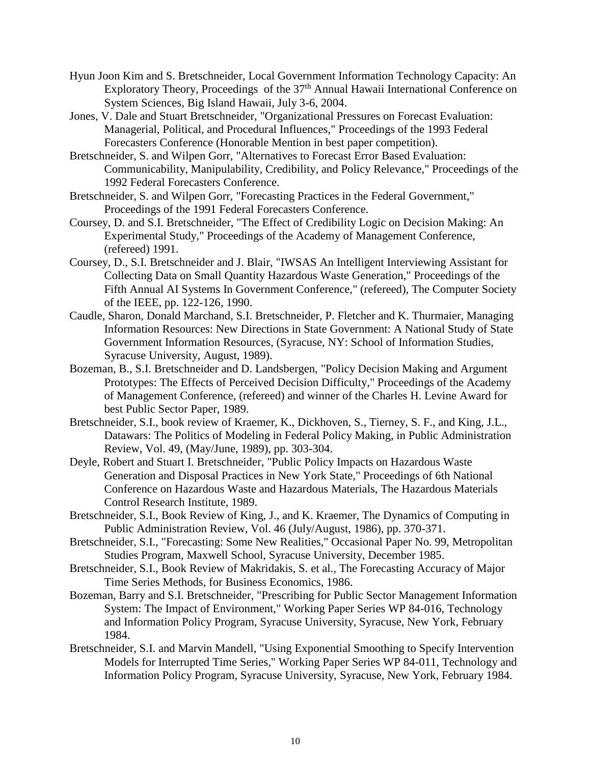- Hyun Joon Kim and S. Bretschneider, Local Government Information Technology Capacity: An Exploratory Theory, Proceedings of the  $37<sup>th</sup>$  Annual Hawaii International Conference on System Sciences, Big Island Hawaii, July 3-6, 2004.
- Jones, V. Dale and Stuart Bretschneider, "Organizational Pressures on Forecast Evaluation: Managerial, Political, and Procedural Influences," Proceedings of the 1993 Federal Forecasters Conference (Honorable Mention in best paper competition).
- Bretschneider, S. and Wilpen Gorr, "Alternatives to Forecast Error Based Evaluation: Communicability, Manipulability, Credibility, and Policy Relevance," Proceedings of the 1992 Federal Forecasters Conference.
- Bretschneider, S. and Wilpen Gorr, "Forecasting Practices in the Federal Government," Proceedings of the 1991 Federal Forecasters Conference.
- Coursey, D. and S.I. Bretschneider, "The Effect of Credibility Logic on Decision Making: An Experimental Study," Proceedings of the Academy of Management Conference, (refereed) 1991.
- Coursey, D., S.I. Bretschneider and J. Blair, "IWSAS An Intelligent Interviewing Assistant for Collecting Data on Small Quantity Hazardous Waste Generation," Proceedings of the Fifth Annual AI Systems In Government Conference," (refereed), The Computer Society of the IEEE, pp. 122-126, 1990.
- Caudle, Sharon, Donald Marchand, S.I. Bretschneider, P. Fletcher and K. Thurmaier, Managing Information Resources: New Directions in State Government: A National Study of State Government Information Resources, (Syracuse, NY: School of Information Studies, Syracuse University, August, 1989).
- Bozeman, B., S.I. Bretschneider and D. Landsbergen, "Policy Decision Making and Argument Prototypes: The Effects of Perceived Decision Difficulty," Proceedings of the Academy of Management Conference, (refereed) and winner of the Charles H. Levine Award for best Public Sector Paper, 1989.
- Bretschneider, S.I., book review of Kraemer, K., Dickhoven, S., Tierney, S. F., and King, J.L., Datawars: The Politics of Modeling in Federal Policy Making, in Public Administration Review, Vol. 49, (May/June, 1989), pp. 303-304.
- Deyle, Robert and Stuart I. Bretschneider, "Public Policy Impacts on Hazardous Waste Generation and Disposal Practices in New York State," Proceedings of 6th National Conference on Hazardous Waste and Hazardous Materials, The Hazardous Materials Control Research Institute, 1989.
- Bretschneider, S.I., Book Review of King, J., and K. Kraemer, The Dynamics of Computing in Public Administration Review, Vol. 46 (July/August, 1986), pp. 370-371.
- Bretschneider, S.I., "Forecasting: Some New Realities," Occasional Paper No. 99, Metropolitan Studies Program, Maxwell School, Syracuse University, December 1985.
- Bretschneider, S.I., Book Review of Makridakis, S. et al., The Forecasting Accuracy of Major Time Series Methods, for Business Economics, 1986.
- Bozeman, Barry and S.I. Bretschneider, "Prescribing for Public Sector Management Information System: The Impact of Environment," Working Paper Series WP 84-016, Technology and Information Policy Program, Syracuse University, Syracuse, New York, February 1984.
- Bretschneider, S.I. and Marvin Mandell, "Using Exponential Smoothing to Specify Intervention Models for Interrupted Time Series," Working Paper Series WP 84-011, Technology and Information Policy Program, Syracuse University, Syracuse, New York, February 1984.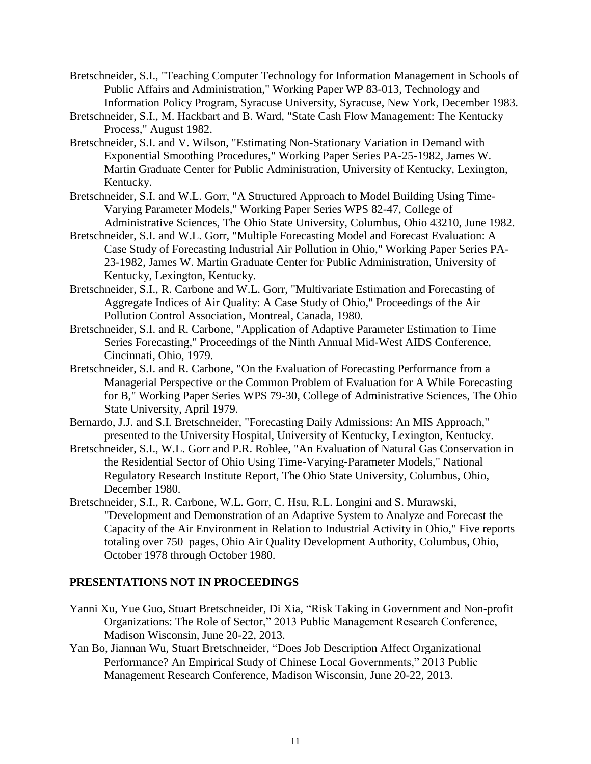- Bretschneider, S.I., "Teaching Computer Technology for Information Management in Schools of Public Affairs and Administration," Working Paper WP 83-013, Technology and Information Policy Program, Syracuse University, Syracuse, New York, December 1983.
- Bretschneider, S.I., M. Hackbart and B. Ward, "State Cash Flow Management: The Kentucky Process," August 1982.
- Bretschneider, S.I. and V. Wilson, "Estimating Non-Stationary Variation in Demand with Exponential Smoothing Procedures," Working Paper Series PA-25-1982, James W. Martin Graduate Center for Public Administration, University of Kentucky, Lexington, Kentucky.
- Bretschneider, S.I. and W.L. Gorr, "A Structured Approach to Model Building Using Time-Varying Parameter Models," Working Paper Series WPS 82-47, College of Administrative Sciences, The Ohio State University, Columbus, Ohio 43210, June 1982.
- Bretschneider, S.I. and W.L. Gorr, "Multiple Forecasting Model and Forecast Evaluation: A Case Study of Forecasting Industrial Air Pollution in Ohio," Working Paper Series PA-23-1982, James W. Martin Graduate Center for Public Administration, University of Kentucky, Lexington, Kentucky.
- Bretschneider, S.I., R. Carbone and W.L. Gorr, "Multivariate Estimation and Forecasting of Aggregate Indices of Air Quality: A Case Study of Ohio," Proceedings of the Air Pollution Control Association, Montreal, Canada, 1980.
- Bretschneider, S.I. and R. Carbone, "Application of Adaptive Parameter Estimation to Time Series Forecasting," Proceedings of the Ninth Annual Mid-West AIDS Conference, Cincinnati, Ohio, 1979.
- Bretschneider, S.I. and R. Carbone, "On the Evaluation of Forecasting Performance from a Managerial Perspective or the Common Problem of Evaluation for A While Forecasting for B," Working Paper Series WPS 79-30, College of Administrative Sciences, The Ohio State University, April 1979.
- Bernardo, J.J. and S.I. Bretschneider, "Forecasting Daily Admissions: An MIS Approach," presented to the University Hospital, University of Kentucky, Lexington, Kentucky.
- Bretschneider, S.I., W.L. Gorr and P.R. Roblee, "An Evaluation of Natural Gas Conservation in the Residential Sector of Ohio Using Time-Varying-Parameter Models," National Regulatory Research Institute Report, The Ohio State University, Columbus, Ohio, December 1980.
- Bretschneider, S.I., R. Carbone, W.L. Gorr, C. Hsu, R.L. Longini and S. Murawski, "Development and Demonstration of an Adaptive System to Analyze and Forecast the Capacity of the Air Environment in Relation to Industrial Activity in Ohio," Five reports totaling over 750 pages, Ohio Air Quality Development Authority, Columbus, Ohio, October 1978 through October 1980.

# **PRESENTATIONS NOT IN PROCEEDINGS**

- Yanni Xu, Yue Guo, Stuart Bretschneider, Di Xia, "Risk Taking in Government and Non-profit Organizations: The Role of Sector," 2013 Public Management Research Conference, Madison Wisconsin, June 20-22, 2013.
- Yan Bo, Jiannan Wu, Stuart Bretschneider, "Does Job Description Affect Organizational Performance? An Empirical Study of Chinese Local Governments," 2013 Public Management Research Conference, Madison Wisconsin, June 20-22, 2013.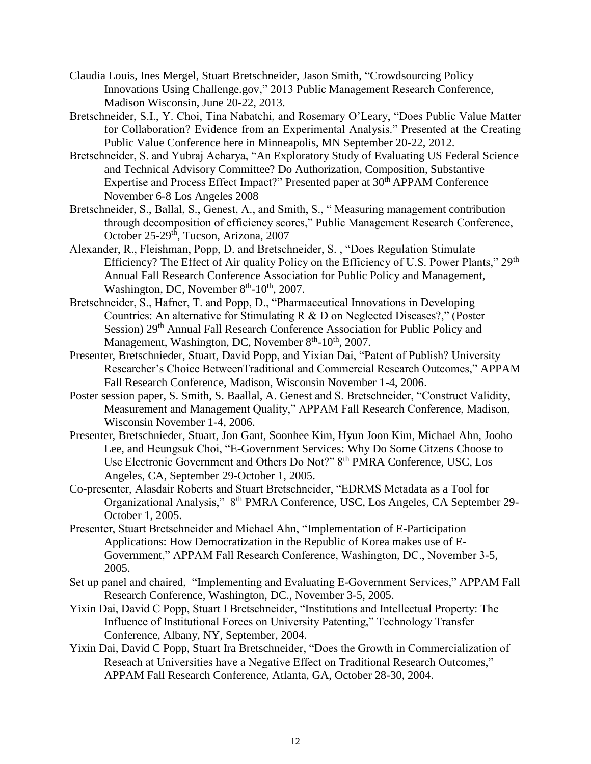- Claudia Louis, Ines Mergel, Stuart Bretschneider, Jason Smith, "Crowdsourcing Policy Innovations Using Challenge.gov," 2013 Public Management Research Conference, Madison Wisconsin, June 20-22, 2013.
- Bretschneider, S.I., Y. Choi, Tina Nabatchi, and Rosemary O'Leary, "Does Public Value Matter for Collaboration? Evidence from an Experimental Analysis." Presented at the Creating Public Value Conference here in Minneapolis, MN September 20-22, 2012.
- Bretschneider, S. and Yubraj Acharya, "An Exploratory Study of Evaluating US Federal Science and Technical Advisory Committee? Do Authorization, Composition, Substantive Expertise and Process Effect Impact?" Presented paper at 30<sup>th</sup> APPAM Conference November 6-8 Los Angeles 2008
- Bretschneider, S., Ballal, S., Genest, A., and Smith, S., "Measuring management contribution through decomposition of efficiency scores," Public Management Research Conference, October 25-29<sup>th</sup>, Tucson, Arizona, 2007
- Alexander, R., Fleishman, Popp, D. and Bretschneider, S. , "Does Regulation Stimulate Efficiency? The Effect of Air quality Policy on the Efficiency of U.S. Power Plants," 29<sup>th</sup> Annual Fall Research Conference Association for Public Policy and Management, Washington, DC, November  $8<sup>th</sup>$ -10<sup>th</sup>, 2007.
- Bretschneider, S., Hafner, T. and Popp, D., "Pharmaceutical Innovations in Developing Countries: An alternative for Stimulating R & D on Neglected Diseases?," (Poster Session) 29<sup>th</sup> Annual Fall Research Conference Association for Public Policy and Management, Washington, DC, November 8<sup>th</sup>-10<sup>th</sup>, 2007.
- Presenter, Bretschnieder, Stuart, David Popp, and Yixian Dai, "Patent of Publish? University Researcher's Choice BetweenTraditional and Commercial Research Outcomes," APPAM Fall Research Conference, Madison, Wisconsin November 1-4, 2006.
- Poster session paper, S. Smith, S. Baallal, A. Genest and S. Bretschneider, "Construct Validity, Measurement and Management Quality," APPAM Fall Research Conference, Madison, Wisconsin November 1-4, 2006.
- Presenter, Bretschnieder, Stuart, Jon Gant, Soonhee Kim, Hyun Joon Kim, Michael Ahn, Jooho Lee, and Heungsuk Choi, "E-Government Services: Why Do Some Citzens Choose to Use Electronic Government and Others Do Not?" 8<sup>th</sup> PMRA Conference, USC, Los Angeles, CA, September 29-October 1, 2005.
- Co-presenter, Alasdair Roberts and Stuart Bretschneider, "EDRMS Metadata as a Tool for Organizational Analysis," 8th PMRA Conference, USC, Los Angeles, CA September 29- October 1, 2005.
- Presenter, Stuart Bretschneider and Michael Ahn, "Implementation of E-Participation Applications: How Democratization in the Republic of Korea makes use of E-Government," APPAM Fall Research Conference, Washington, DC., November 3-5, 2005.
- Set up panel and chaired, "Implementing and Evaluating E-Government Services," APPAM Fall Research Conference, Washington, DC., November 3-5, 2005.
- Yixin Dai, David C Popp, Stuart I Bretschneider, "Institutions and Intellectual Property: The Influence of Institutional Forces on University Patenting," Technology Transfer Conference, Albany, NY, September, 2004.
- Yixin Dai, David C Popp, Stuart Ira Bretschneider, "Does the Growth in Commercialization of Reseach at Universities have a Negative Effect on Traditional Research Outcomes," APPAM Fall Research Conference, Atlanta, GA, October 28-30, 2004.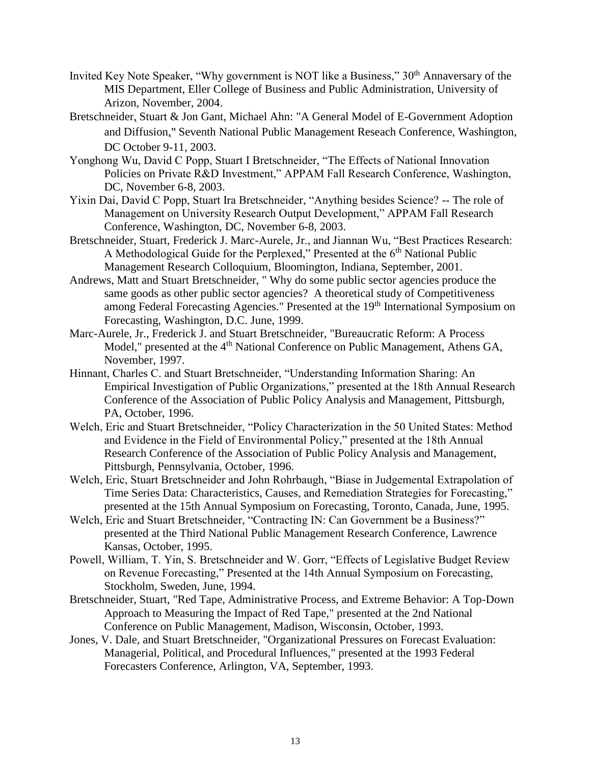- Invited Key Note Speaker, "Why government is NOT like a Business," 30<sup>th</sup> Annaversary of the MIS Department, Eller College of Business and Public Administration, University of Arizon, November, 2004.
- Bretschneider, Stuart & Jon Gant, Michael Ahn: "A General Model of E-Government Adoption and Diffusion," Seventh National Public Management Reseach Conference, Washington, DC October 9-11, 2003.
- Yonghong Wu, David C Popp, Stuart I Bretschneider, "The Effects of National Innovation Policies on Private R&D Investment," APPAM Fall Research Conference, Washington, DC, November 6-8, 2003.
- Yixin Dai, David C Popp, Stuart Ira Bretschneider, "Anything besides Science? -- The role of Management on University Research Output Development," APPAM Fall Research Conference, Washington, DC, November 6-8, 2003.
- Bretschneider, Stuart, Frederick J. Marc-Aurele, Jr., and Jiannan Wu, "Best Practices Research: A Methodological Guide for the Perplexed," Presented at the 6<sup>th</sup> National Public Management Research Colloquium, Bloomington, Indiana, September, 2001.
- Andrews, Matt and Stuart Bretschneider, " Why do some public sector agencies produce the same goods as other public sector agencies? A theoretical study of Competitiveness among Federal Forecasting Agencies." Presented at the 19<sup>th</sup> International Symposium on Forecasting, Washington, D.C. June, 1999.
- Marc-Aurele, Jr., Frederick J. and Stuart Bretschneider, "Bureaucratic Reform: A Process Model," presented at the 4<sup>th</sup> National Conference on Public Management, Athens GA, November, 1997.
- Hinnant, Charles C. and Stuart Bretschneider, "Understanding Information Sharing: An Empirical Investigation of Public Organizations," presented at the 18th Annual Research Conference of the Association of Public Policy Analysis and Management, Pittsburgh, PA, October, 1996.
- Welch, Eric and Stuart Bretschneider, "Policy Characterization in the 50 United States: Method and Evidence in the Field of Environmental Policy," presented at the 18th Annual Research Conference of the Association of Public Policy Analysis and Management, Pittsburgh, Pennsylvania, October, 1996.
- Welch, Eric, Stuart Bretschneider and John Rohrbaugh, "Biase in Judgemental Extrapolation of Time Series Data: Characteristics, Causes, and Remediation Strategies for Forecasting," presented at the 15th Annual Symposium on Forecasting, Toronto, Canada, June, 1995.
- Welch, Eric and Stuart Bretschneider, "Contracting IN: Can Government be a Business?" presented at the Third National Public Management Research Conference, Lawrence Kansas, October, 1995.
- Powell, William, T. Yin, S. Bretschneider and W. Gorr, "Effects of Legislative Budget Review on Revenue Forecasting," Presented at the 14th Annual Symposium on Forecasting, Stockholm, Sweden, June, 1994.
- Bretschneider, Stuart, "Red Tape, Administrative Process, and Extreme Behavior: A Top-Down Approach to Measuring the Impact of Red Tape," presented at the 2nd National Conference on Public Management, Madison, Wisconsin, October, 1993.
- Jones, V. Dale, and Stuart Bretschneider, "Organizational Pressures on Forecast Evaluation: Managerial, Political, and Procedural Influences," presented at the 1993 Federal Forecasters Conference, Arlington, VA, September, 1993.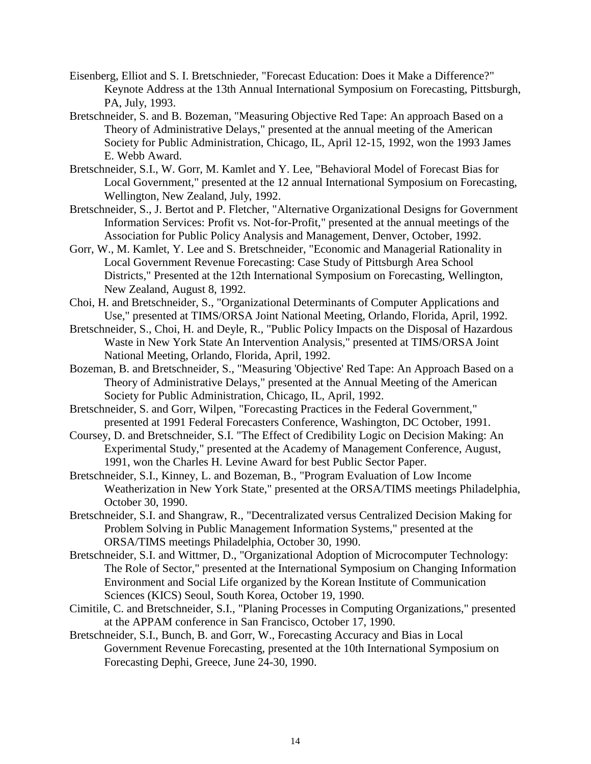- Eisenberg, Elliot and S. I. Bretschnieder, "Forecast Education: Does it Make a Difference?" Keynote Address at the 13th Annual International Symposium on Forecasting, Pittsburgh, PA, July, 1993.
- Bretschneider, S. and B. Bozeman, "Measuring Objective Red Tape: An approach Based on a Theory of Administrative Delays," presented at the annual meeting of the American Society for Public Administration, Chicago, IL, April 12-15, 1992, won the 1993 James E. Webb Award.
- Bretschneider, S.I., W. Gorr, M. Kamlet and Y. Lee, "Behavioral Model of Forecast Bias for Local Government," presented at the 12 annual International Symposium on Forecasting, Wellington, New Zealand, July, 1992.
- Bretschneider, S., J. Bertot and P. Fletcher, "Alternative Organizational Designs for Government Information Services: Profit vs. Not-for-Profit," presented at the annual meetings of the Association for Public Policy Analysis and Management, Denver, October, 1992.
- Gorr, W., M. Kamlet, Y. Lee and S. Bretschneider, "Economic and Managerial Rationality in Local Government Revenue Forecasting: Case Study of Pittsburgh Area School Districts," Presented at the 12th International Symposium on Forecasting, Wellington, New Zealand, August 8, 1992.
- Choi, H. and Bretschneider, S., "Organizational Determinants of Computer Applications and Use," presented at TIMS/ORSA Joint National Meeting, Orlando, Florida, April, 1992.
- Bretschneider, S., Choi, H. and Deyle, R., "Public Policy Impacts on the Disposal of Hazardous Waste in New York State An Intervention Analysis," presented at TIMS/ORSA Joint National Meeting, Orlando, Florida, April, 1992.
- Bozeman, B. and Bretschneider, S., "Measuring 'Objective' Red Tape: An Approach Based on a Theory of Administrative Delays," presented at the Annual Meeting of the American Society for Public Administration, Chicago, IL, April, 1992.
- Bretschneider, S. and Gorr, Wilpen, "Forecasting Practices in the Federal Government," presented at 1991 Federal Forecasters Conference, Washington, DC October, 1991.
- Coursey, D. and Bretschneider, S.I. "The Effect of Credibility Logic on Decision Making: An Experimental Study," presented at the Academy of Management Conference, August, 1991, won the Charles H. Levine Award for best Public Sector Paper.
- Bretschneider, S.I., Kinney, L. and Bozeman, B., "Program Evaluation of Low Income Weatherization in New York State," presented at the ORSA/TIMS meetings Philadelphia, October 30, 1990.
- Bretschneider, S.I. and Shangraw, R., "Decentralizated versus Centralized Decision Making for Problem Solving in Public Management Information Systems," presented at the ORSA/TIMS meetings Philadelphia, October 30, 1990.
- Bretschneider, S.I. and Wittmer, D., "Organizational Adoption of Microcomputer Technology: The Role of Sector," presented at the International Symposium on Changing Information Environment and Social Life organized by the Korean Institute of Communication Sciences (KICS) Seoul, South Korea, October 19, 1990.
- Cimitile, C. and Bretschneider, S.I., "Planing Processes in Computing Organizations," presented at the APPAM conference in San Francisco, October 17, 1990.
- Bretschneider, S.I., Bunch, B. and Gorr, W., Forecasting Accuracy and Bias in Local Government Revenue Forecasting, presented at the 10th International Symposium on Forecasting Dephi, Greece, June 24-30, 1990.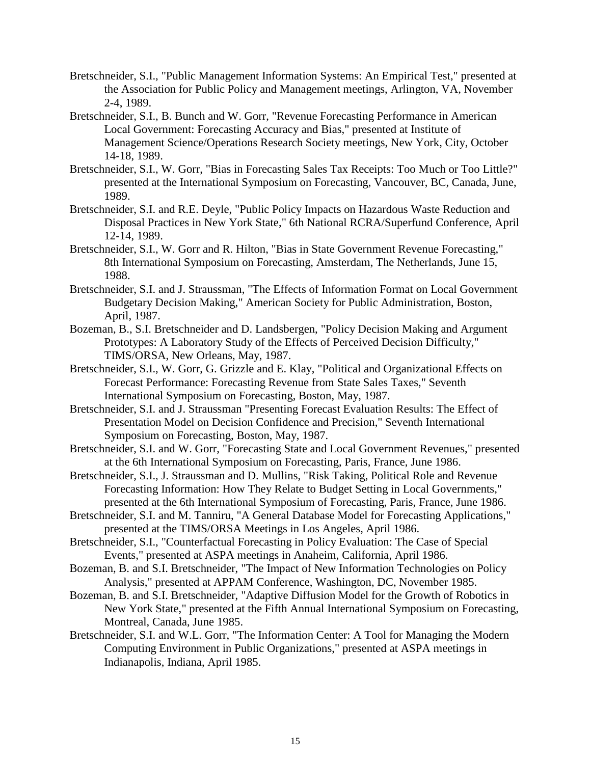- Bretschneider, S.I., "Public Management Information Systems: An Empirical Test," presented at the Association for Public Policy and Management meetings, Arlington, VA, November 2-4, 1989.
- Bretschneider, S.I., B. Bunch and W. Gorr, "Revenue Forecasting Performance in American Local Government: Forecasting Accuracy and Bias," presented at Institute of Management Science/Operations Research Society meetings, New York, City, October 14-18, 1989.
- Bretschneider, S.I., W. Gorr, "Bias in Forecasting Sales Tax Receipts: Too Much or Too Little?" presented at the International Symposium on Forecasting, Vancouver, BC, Canada, June, 1989.
- Bretschneider, S.I. and R.E. Deyle, "Public Policy Impacts on Hazardous Waste Reduction and Disposal Practices in New York State," 6th National RCRA/Superfund Conference, April 12-14, 1989.
- Bretschneider, S.I., W. Gorr and R. Hilton, "Bias in State Government Revenue Forecasting," 8th International Symposium on Forecasting, Amsterdam, The Netherlands, June 15, 1988.
- Bretschneider, S.I. and J. Straussman, "The Effects of Information Format on Local Government Budgetary Decision Making," American Society for Public Administration, Boston, April, 1987.
- Bozeman, B., S.I. Bretschneider and D. Landsbergen, "Policy Decision Making and Argument Prototypes: A Laboratory Study of the Effects of Perceived Decision Difficulty," TIMS/ORSA, New Orleans, May, 1987.
- Bretschneider, S.I., W. Gorr, G. Grizzle and E. Klay, "Political and Organizational Effects on Forecast Performance: Forecasting Revenue from State Sales Taxes," Seventh International Symposium on Forecasting, Boston, May, 1987.
- Bretschneider, S.I. and J. Straussman "Presenting Forecast Evaluation Results: The Effect of Presentation Model on Decision Confidence and Precision," Seventh International Symposium on Forecasting, Boston, May, 1987.
- Bretschneider, S.I. and W. Gorr, "Forecasting State and Local Government Revenues," presented at the 6th International Symposium on Forecasting, Paris, France, June 1986.
- Bretschneider, S.I., J. Straussman and D. Mullins, "Risk Taking, Political Role and Revenue Forecasting Information: How They Relate to Budget Setting in Local Governments," presented at the 6th International Symposium of Forecasting, Paris, France, June 1986.
- Bretschneider, S.I. and M. Tanniru, "A General Database Model for Forecasting Applications," presented at the TIMS/ORSA Meetings in Los Angeles, April 1986.
- Bretschneider, S.I., "Counterfactual Forecasting in Policy Evaluation: The Case of Special Events," presented at ASPA meetings in Anaheim, California, April 1986.
- Bozeman, B. and S.I. Bretschneider, "The Impact of New Information Technologies on Policy Analysis," presented at APPAM Conference, Washington, DC, November 1985.
- Bozeman, B. and S.I. Bretschneider, "Adaptive Diffusion Model for the Growth of Robotics in New York State," presented at the Fifth Annual International Symposium on Forecasting, Montreal, Canada, June 1985.
- Bretschneider, S.I. and W.L. Gorr, "The Information Center: A Tool for Managing the Modern Computing Environment in Public Organizations," presented at ASPA meetings in Indianapolis, Indiana, April 1985.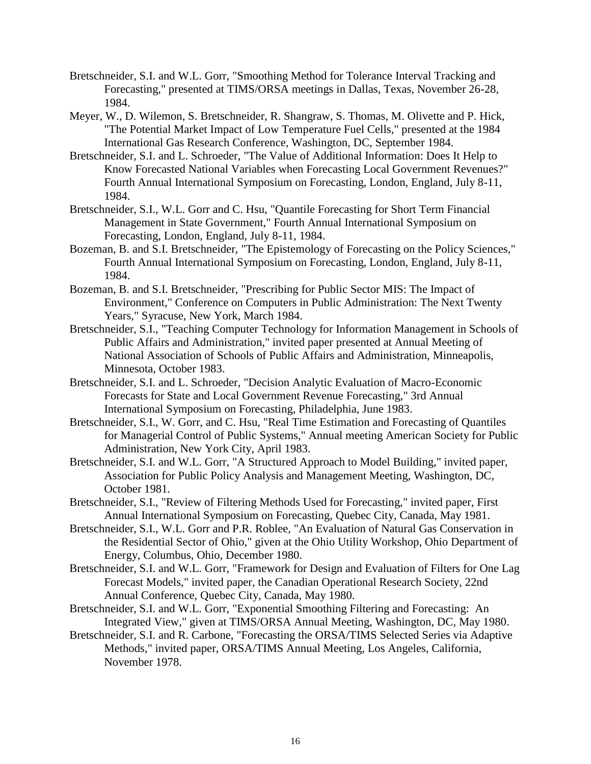- Bretschneider, S.I. and W.L. Gorr, "Smoothing Method for Tolerance Interval Tracking and Forecasting," presented at TIMS/ORSA meetings in Dallas, Texas, November 26-28, 1984.
- Meyer, W., D. Wilemon, S. Bretschneider, R. Shangraw, S. Thomas, M. Olivette and P. Hick, "The Potential Market Impact of Low Temperature Fuel Cells," presented at the 1984 International Gas Research Conference, Washington, DC, September 1984.
- Bretschneider, S.I. and L. Schroeder, "The Value of Additional Information: Does It Help to Know Forecasted National Variables when Forecasting Local Government Revenues?" Fourth Annual International Symposium on Forecasting, London, England, July 8-11, 1984.
- Bretschneider, S.I., W.L. Gorr and C. Hsu, "Quantile Forecasting for Short Term Financial Management in State Government," Fourth Annual International Symposium on Forecasting, London, England, July 8-11, 1984.
- Bozeman, B. and S.I. Bretschneider, "The Epistemology of Forecasting on the Policy Sciences," Fourth Annual International Symposium on Forecasting, London, England, July 8-11, 1984.
- Bozeman, B. and S.I. Bretschneider, "Prescribing for Public Sector MIS: The Impact of Environment," Conference on Computers in Public Administration: The Next Twenty Years," Syracuse, New York, March 1984.
- Bretschneider, S.I., "Teaching Computer Technology for Information Management in Schools of Public Affairs and Administration," invited paper presented at Annual Meeting of National Association of Schools of Public Affairs and Administration, Minneapolis, Minnesota, October 1983.
- Bretschneider, S.I. and L. Schroeder, "Decision Analytic Evaluation of Macro-Economic Forecasts for State and Local Government Revenue Forecasting," 3rd Annual International Symposium on Forecasting, Philadelphia, June 1983.
- Bretschneider, S.I., W. Gorr, and C. Hsu, "Real Time Estimation and Forecasting of Quantiles for Managerial Control of Public Systems," Annual meeting American Society for Public Administration, New York City, April 1983.
- Bretschneider, S.I. and W.L. Gorr, "A Structured Approach to Model Building," invited paper, Association for Public Policy Analysis and Management Meeting, Washington, DC, October 1981.
- Bretschneider, S.I., "Review of Filtering Methods Used for Forecasting," invited paper, First Annual International Symposium on Forecasting, Quebec City, Canada, May 1981.
- Bretschneider, S.I., W.L. Gorr and P.R. Roblee, "An Evaluation of Natural Gas Conservation in the Residential Sector of Ohio," given at the Ohio Utility Workshop, Ohio Department of Energy, Columbus, Ohio, December 1980.
- Bretschneider, S.I. and W.L. Gorr, "Framework for Design and Evaluation of Filters for One Lag Forecast Models," invited paper, the Canadian Operational Research Society, 22nd Annual Conference, Quebec City, Canada, May 1980.
- Bretschneider, S.I. and W.L. Gorr, "Exponential Smoothing Filtering and Forecasting: An Integrated View," given at TIMS/ORSA Annual Meeting, Washington, DC, May 1980.
- Bretschneider, S.I. and R. Carbone, "Forecasting the ORSA/TIMS Selected Series via Adaptive Methods," invited paper, ORSA/TIMS Annual Meeting, Los Angeles, California, November 1978.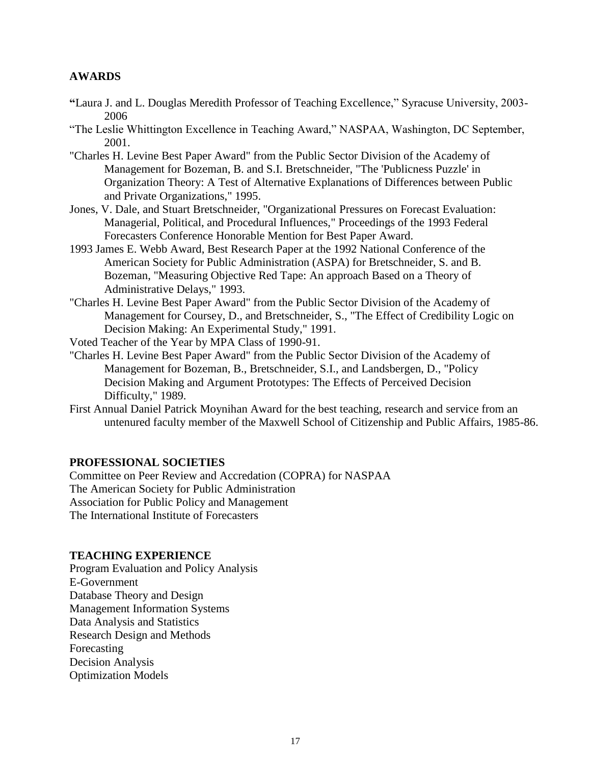### **AWARDS**

- **"**Laura J. and L. Douglas Meredith Professor of Teaching Excellence," Syracuse University, 2003- 2006
- "The Leslie Whittington Excellence in Teaching Award," NASPAA, Washington, DC September, 2001.
- "Charles H. Levine Best Paper Award" from the Public Sector Division of the Academy of Management for Bozeman, B. and S.I. Bretschneider, "The 'Publicness Puzzle' in Organization Theory: A Test of Alternative Explanations of Differences between Public and Private Organizations," 1995.
- Jones, V. Dale, and Stuart Bretschneider, "Organizational Pressures on Forecast Evaluation: Managerial, Political, and Procedural Influences," Proceedings of the 1993 Federal Forecasters Conference Honorable Mention for Best Paper Award.
- 1993 James E. Webb Award, Best Research Paper at the 1992 National Conference of the American Society for Public Administration (ASPA) for Bretschneider, S. and B. Bozeman, "Measuring Objective Red Tape: An approach Based on a Theory of Administrative Delays," 1993.
- "Charles H. Levine Best Paper Award" from the Public Sector Division of the Academy of Management for Coursey, D., and Bretschneider, S., "The Effect of Credibility Logic on Decision Making: An Experimental Study," 1991.
- Voted Teacher of the Year by MPA Class of 1990-91.
- "Charles H. Levine Best Paper Award" from the Public Sector Division of the Academy of Management for Bozeman, B., Bretschneider, S.I., and Landsbergen, D., "Policy Decision Making and Argument Prototypes: The Effects of Perceived Decision Difficulty," 1989.
- First Annual Daniel Patrick Moynihan Award for the best teaching, research and service from an untenured faculty member of the Maxwell School of Citizenship and Public Affairs, 1985-86.

#### **PROFESSIONAL SOCIETIES**

Committee on Peer Review and Accredation (COPRA) for NASPAA The American Society for Public Administration Association for Public Policy and Management The International Institute of Forecasters

#### **TEACHING EXPERIENCE**

Program Evaluation and Policy Analysis E-Government Database Theory and Design Management Information Systems Data Analysis and Statistics Research Design and Methods Forecasting Decision Analysis Optimization Models